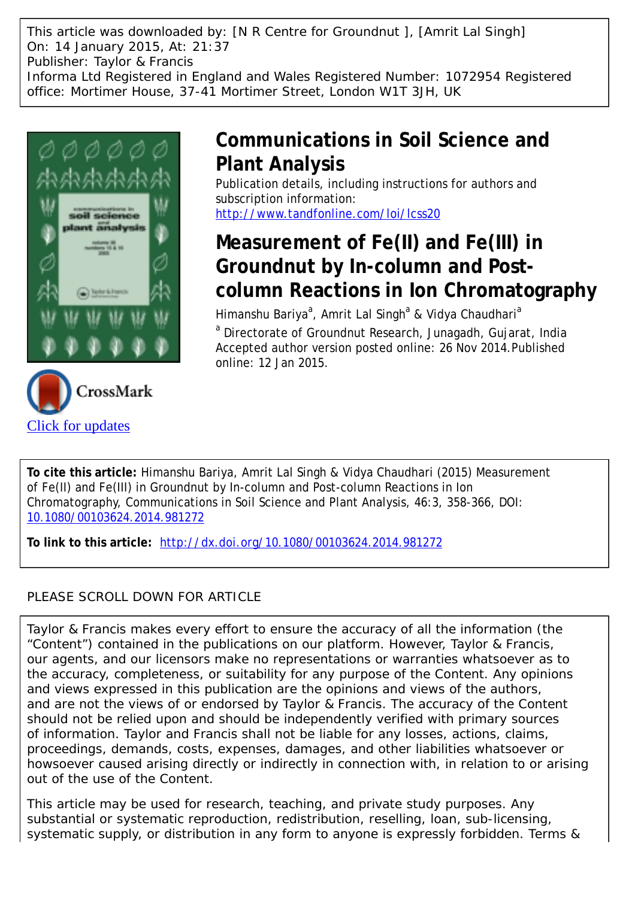This article was downloaded by: [N R Centre for Groundnut ], [Amrit Lal Singh] On: 14 January 2015, At: 21:37 Publisher: Taylor & Francis Informa Ltd Registered in England and Wales Registered Number: 1072954 Registered office: Mortimer House, 37-41 Mortimer Street, London W1T 3JH, UK



[Click for updates](http://crossmark.crossref.org/dialog/?doi=10.1080/00103624.2014.981272&domain=pdf&date_stamp=2014-11-26)

## **Communications in Soil Science and Plant Analysis**

Publication details, including instructions for authors and subscription information: <http://www.tandfonline.com/loi/lcss20>

# **Measurement of Fe(II) and Fe(III) in Groundnut by In-column and Postcolumn Reactions in Ion Chromatography**

Himanshu Bariya<sup>a</sup>, Amrit Lal Singh<sup>a</sup> & Vidya Chaudhari<sup>a</sup>

<sup>a</sup> Directorate of Groundnut Research, Junagadh, Gujarat, India Accepted author version posted online: 26 Nov 2014.Published online: 12 Jan 2015.

**To cite this article:** Himanshu Bariya, Amrit Lal Singh & Vidya Chaudhari (2015) Measurement of Fe(II) and Fe(III) in Groundnut by In-column and Post-column Reactions in Ion Chromatography, Communications in Soil Science and Plant Analysis, 46:3, 358-366, DOI: [10.1080/00103624.2014.981272](http://www.tandfonline.com/action/showCitFormats?doi=10.1080/00103624.2014.981272)

**To link to this article:** <http://dx.doi.org/10.1080/00103624.2014.981272>

### PLEASE SCROLL DOWN FOR ARTICLE

Taylor & Francis makes every effort to ensure the accuracy of all the information (the "Content") contained in the publications on our platform. However, Taylor & Francis, our agents, and our licensors make no representations or warranties whatsoever as to the accuracy, completeness, or suitability for any purpose of the Content. Any opinions and views expressed in this publication are the opinions and views of the authors, and are not the views of or endorsed by Taylor & Francis. The accuracy of the Content should not be relied upon and should be independently verified with primary sources of information. Taylor and Francis shall not be liable for any losses, actions, claims, proceedings, demands, costs, expenses, damages, and other liabilities whatsoever or howsoever caused arising directly or indirectly in connection with, in relation to or arising out of the use of the Content.

This article may be used for research, teaching, and private study purposes. Any substantial or systematic reproduction, redistribution, reselling, loan, sub-licensing, systematic supply, or distribution in any form to anyone is expressly forbidden. Terms &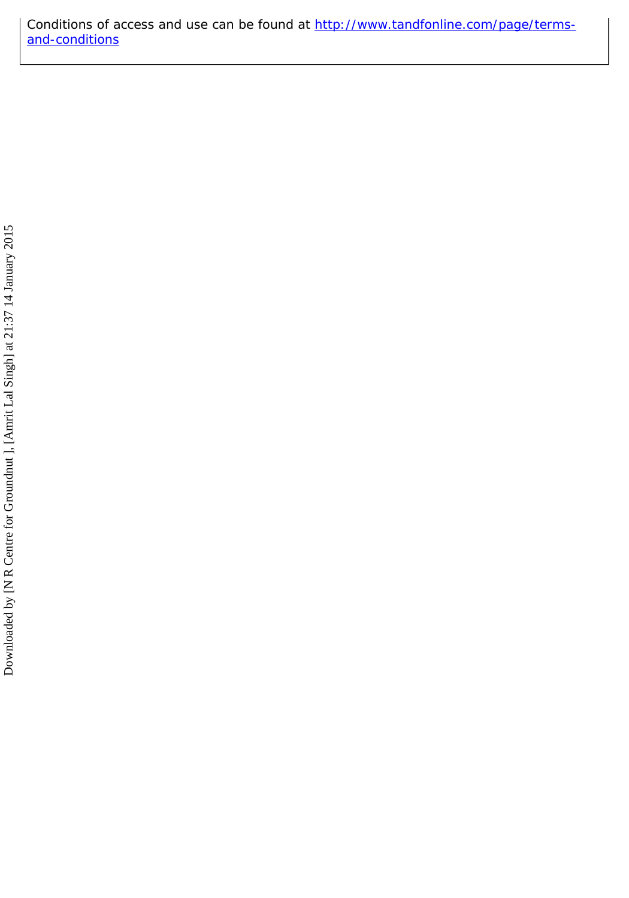Conditions of access and use can be found at [http://www.tandfonline.com/page/terms](http://www.tandfonline.com/page/terms-and-conditions)[and-conditions](http://www.tandfonline.com/page/terms-and-conditions)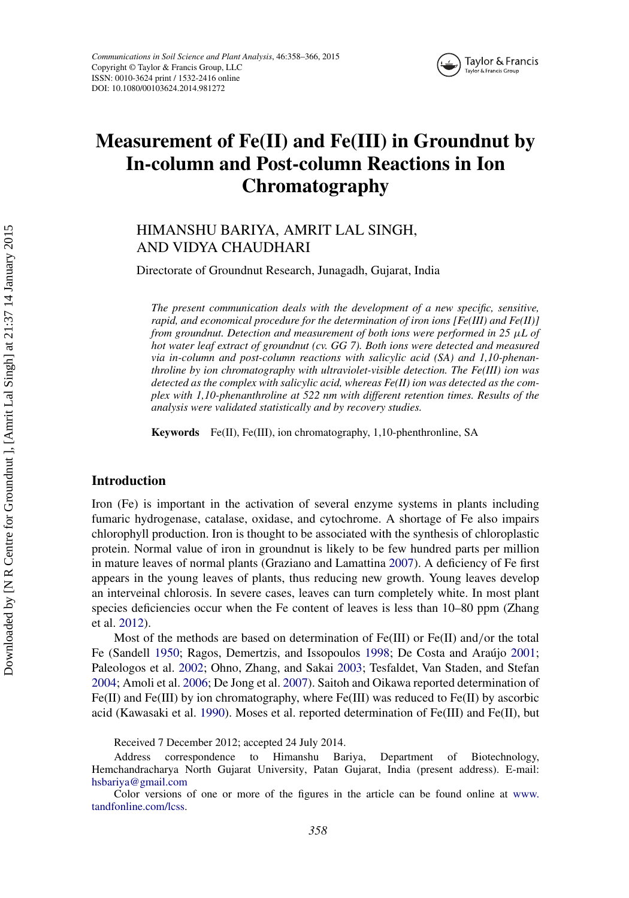

## **Measurement of Fe(II) and Fe(III) in Groundnut by In-column and Post-column Reactions in Ion Chromatography**

### HIMANSHU BARIYA, AMRIT LAL SINGH, AND VIDYA CHAUDHARI

Directorate of Groundnut Research, Junagadh, Gujarat, India

*The present communication deals with the development of a new specific, sensitive, rapid, and economical procedure for the determination of iron ions [Fe(III) and Fe(II)] from groundnut. Detection and measurement of both ions were performed in 25 µL of hot water leaf extract of groundnut (cv. GG 7). Both ions were detected and measured via in-column and post-column reactions with salicylic acid (SA) and 1,10-phenanthroline by ion chromatography with ultraviolet-visible detection. The Fe(III) ion was detected as the complex with salicylic acid, whereas Fe(II) ion was detected as the complex with 1,10-phenanthroline at 522 nm with different retention times. Results of the analysis were validated statistically and by recovery studies.*

**Keywords** Fe(II), Fe(III), ion chromatography, 1,10-phenthronline, SA

#### **Introduction**

Iron (Fe) is important in the activation of several enzyme systems in plants including fumaric hydrogenase, catalase, oxidase, and cytochrome. A shortage of Fe also impairs chlorophyll production. Iron is thought to be associated with the synthesis of chloroplastic protein. Normal value of iron in groundnut is likely to be few hundred parts per million in mature leaves of normal plants (Graziano and Lamattina [2007\)](#page-9-0). A deficiency of Fe first appears in the young leaves of plants, thus reducing new growth. Young leaves develop an interveinal chlorosis. In severe cases, leaves can turn completely white. In most plant species deficiencies occur when the Fe content of leaves is less than 10–80 ppm (Zhang et al. [2012\)](#page-10-0).

Most of the methods are based on determination of Fe(III) or Fe(II) and*/*or the total Fe (Sandell [1950;](#page-10-1) Ragos, Demertzis, and Issopoulos [1998;](#page-9-1) De Costa and Araújo [2001;](#page-9-2) Paleologos et al. [2002;](#page-9-3) Ohno, Zhang, and Sakai [2003;](#page-9-4) Tesfaldet, Van Staden, and Stefan [2004;](#page-10-2) Amoli et al. [2006;](#page-9-5) De Jong et al. [2007\)](#page-9-6). Saitoh and Oikawa reported determination of Fe(II) and Fe(III) by ion chromatography, where Fe(III) was reduced to Fe(II) by ascorbic acid (Kawasaki et al. [1990\)](#page-9-7). Moses et al. reported determination of Fe(III) and Fe(II), but

Received 7 December 2012; accepted 24 July 2014.

Address correspondence to Himanshu Bariya, Department of Biotechnology, Hemchandracharya North Gujarat University, Patan Gujarat, India (present address). E-mail: [hsbariya@gmail.com](mailto:hsbariya@gmail.com)

Color versions of one or more of the figures in the article can be found online at [www.](www.tandfonline.com/lcss) [tandfonline.com/lcss.](www.tandfonline.com/lcss)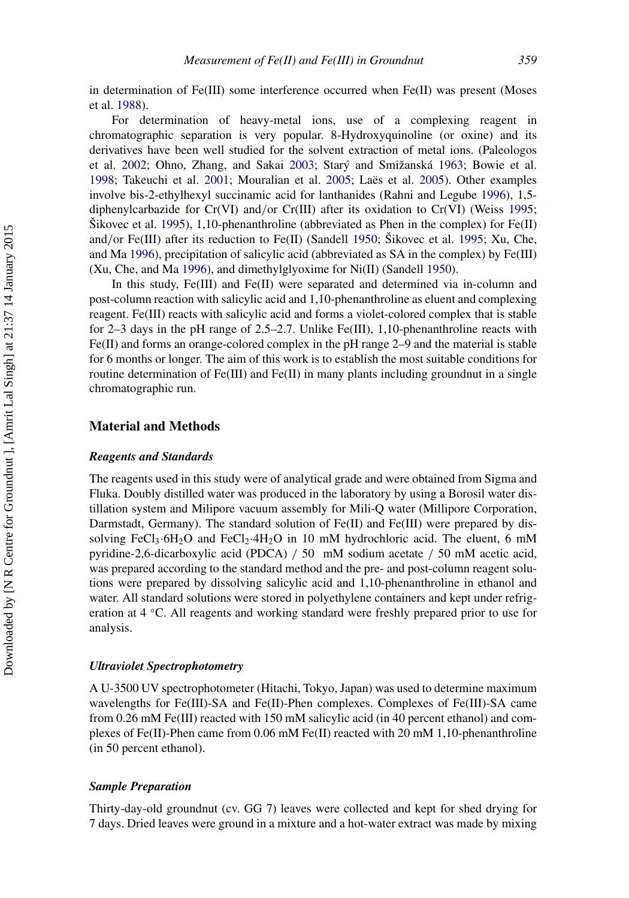in determination of Fe(III) some interference occurred when Fe(II) was present (Moses et al. [1988\)](#page-9-8).

For determination of heavy-metal ions, use of a complexing reagent in chromatographic separation is very popular. 8-Hydroxyquinoline (or oxine) and its derivatives have been well studied for the solvent extraction of metal ions. (Paleologos et al. [2002;](#page-9-3) Ohno, Zhang, and Sakai [2003;](#page-9-4) Starý and Smižanská [1963;](#page-10-3) Bowie et al. [1998;](#page-9-9) Takeuchi et al. [2001;](#page-10-4) Mouralian et al. [2005;](#page-9-10) Laës et al. [2005\)](#page-9-11). Other examples involve bis-2-ethylhexyl succinamic acid for lanthanides (Rahni and Legube [1996\)](#page-9-12), 1,5 diphenylcarbazide for Cr(VI) and*/*or Cr(III) after its oxidation to Cr(VI) (Weiss [1995;](#page-10-5) Šikovec et al. [1995\)](#page-10-6), 1,10-phenanthroline (abbreviated as Phen in the complex) for Fe(II) and*/*or Fe(III) after its reduction to Fe(II) (Sandell [1950;](#page-10-1) Šikovec et al. [1995;](#page-10-6) Xu, Che, and Ma [1996\)](#page-10-7), precipitation of salicylic acid (abbreviated as SA in the complex) by Fe(III) (Xu, Che, and Ma [1996\)](#page-10-7), and dimethylglyoxime for Ni(II) (Sandell [1950\)](#page-10-1).

In this study, Fe(III) and Fe(II) were separated and determined via in-column and post-column reaction with salicylic acid and 1,10-phenanthroline as eluent and complexing reagent. Fe(III) reacts with salicylic acid and forms a violet-colored complex that is stable for 2–3 days in the pH range of 2.5–2.7. Unlike Fe(III), 1,10-phenanthroline reacts with  $Fe(II)$  and forms an orange-colored complex in the pH range 2–9 and the material is stable for 6 months or longer. The aim of this work is to establish the most suitable conditions for routine determination of Fe(III) and Fe(II) in many plants including groundnut in a single chromatographic run.

#### **Material and Methods**

#### *Reagents and Standards*

The reagents used in this study were of analytical grade and were obtained from Sigma and Fluka. Doubly distilled water was produced in the laboratory by using a Borosil water distillation system and Milipore vacuum assembly for Mili-Q water (Millipore Corporation, Darmstadt, Germany). The standard solution of  $Fe(II)$  and  $Fe(III)$  were prepared by dissolving FeCl<sub>3</sub>·6H<sub>2</sub>O and FeCl<sub>2</sub>·4H<sub>2</sub>O in 10 mM hydrochloric acid. The eluent, 6 mM pyridine-2,6-dicarboxylic acid (PDCA) */* 50 mM sodium acetate */* 50 mM acetic acid, was prepared according to the standard method and the pre- and post-column reagent solutions were prepared by dissolving salicylic acid and 1,10-phenanthroline in ethanol and water. All standard solutions were stored in polyethylene containers and kept under refrigeration at 4 ◦C. All reagents and working standard were freshly prepared prior to use for analysis.

#### *Ultraviolet Spectrophotometry*

A U-3500 UV spectrophotometer (Hitachi, Tokyo, Japan) was used to determine maximum wavelengths for Fe(III)-SA and Fe(II)-Phen complexes. Complexes of Fe(III)-SA came from 0.26 mM Fe(III) reacted with 150 mM salicylic acid (in 40 percent ethanol) and complexes of Fe(II)-Phen came from 0.06 mM Fe(II) reacted with 20 mM 1,10-phenanthroline (in 50 percent ethanol).

#### *Sample Preparation*

Thirty-day-old groundnut (cv. GG 7) leaves were collected and kept for shed drying for 7 days. Dried leaves were ground in a mixture and a hot-water extract was made by mixing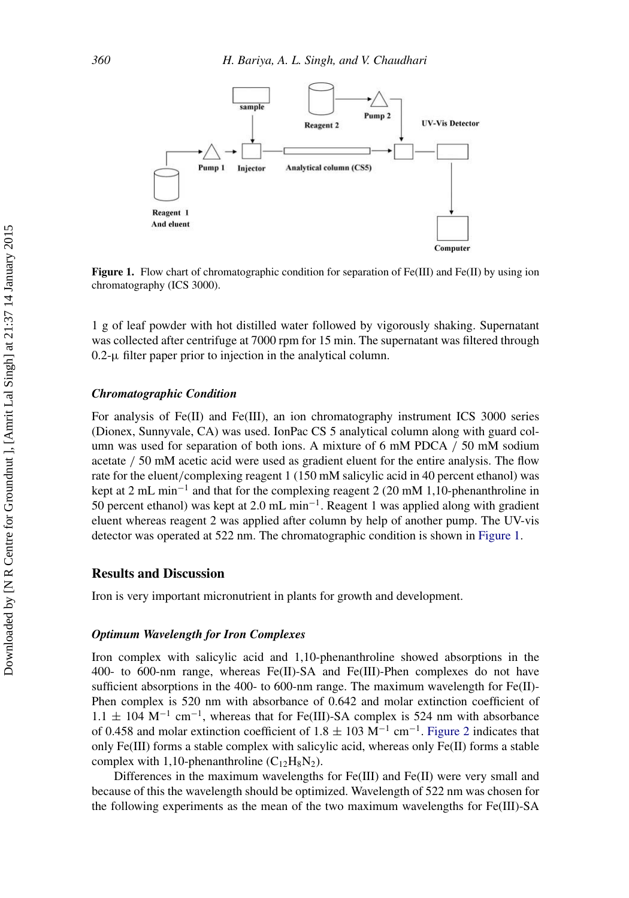<span id="page-4-0"></span>

**Figure 1.** Flow chart of chromatographic condition for separation of Fe(III) and Fe(II) by using ion chromatography (ICS 3000).

1 g of leaf powder with hot distilled water followed by vigorously shaking. Supernatant was collected after centrifuge at 7000 rpm for 15 min. The supernatant was filtered through  $0.2$ - $\mu$  filter paper prior to injection in the analytical column.

#### *Chromatographic Condition*

For analysis of Fe(II) and Fe(III), an ion chromatography instrument ICS 3000 series (Dionex, Sunnyvale, CA) was used. IonPac CS 5 analytical column along with guard column was used for separation of both ions. A mixture of 6 mM PDCA */* 50 mM sodium acetate */* 50 mM acetic acid were used as gradient eluent for the entire analysis. The flow rate for the eluent*/*complexing reagent 1 (150 mM salicylic acid in 40 percent ethanol) was kept at 2 mL min−<sup>1</sup> and that for the complexing reagent 2 (20 mM 1,10-phenanthroline in 50 percent ethanol) was kept at 2.0 mL min−1. Reagent 1 was applied along with gradient eluent whereas reagent 2 was applied after column by help of another pump. The UV-vis detector was operated at 522 nm. The chromatographic condition is shown in [Figure 1.](#page-4-0)

#### **Results and Discussion**

Iron is very important micronutrient in plants for growth and development.

#### *Optimum Wavelength for Iron Complexes*

Iron complex with salicylic acid and 1,10-phenanthroline showed absorptions in the 400- to 600-nm range, whereas Fe(II)-SA and Fe(III)-Phen complexes do not have sufficient absorptions in the 400- to 600-nm range. The maximum wavelength for  $Fe(II)$ -Phen complex is 520 nm with absorbance of 0.642 and molar extinction coefficient of  $1.1 \pm 104$  M<sup>-1</sup> cm<sup>-1</sup>, whereas that for Fe(III)-SA complex is 524 nm with absorbance of 0.458 and molar extinction coefficient of 1.8  $\pm$  103 M<sup>-1</sup> cm<sup>-1</sup>. [Figure 2](#page-5-0) indicates that only Fe(III) forms a stable complex with salicylic acid, whereas only Fe(II) forms a stable complex with 1,10-phenanthroline  $(C_{12}H_8N_2)$ .

Differences in the maximum wavelengths for  $Fe(III)$  and  $Fe(II)$  were very small and because of this the wavelength should be optimized. Wavelength of 522 nm was chosen for the following experiments as the mean of the two maximum wavelengths for Fe(III)-SA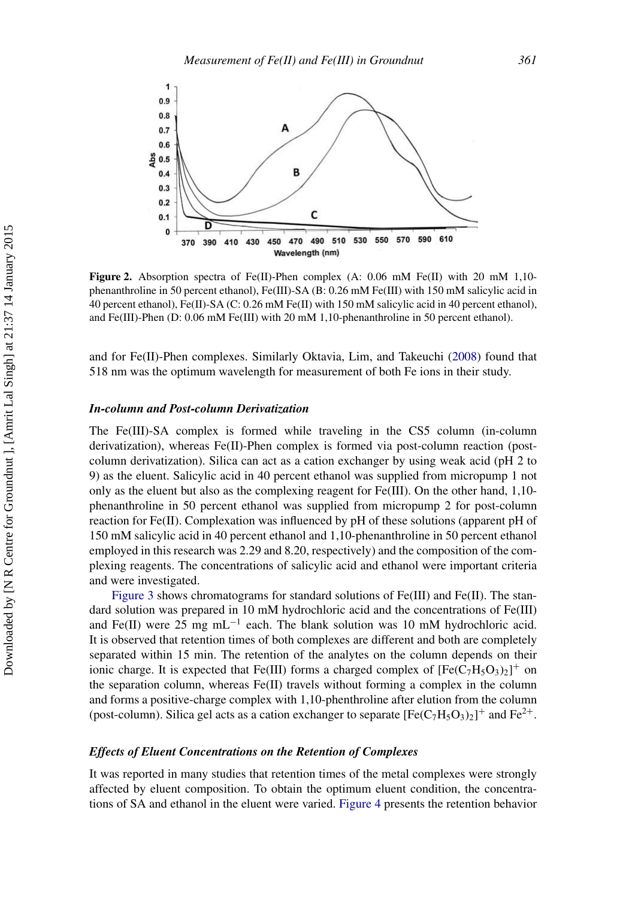<span id="page-5-0"></span>

**Figure 2.** Absorption spectra of Fe(II)-Phen complex (A: 0.06 mM Fe(II) with 20 mM 1,10phenanthroline in 50 percent ethanol), Fe(III)-SA (B: 0.26 mM Fe(III) with 150 mM salicylic acid in 40 percent ethanol), Fe(II)-SA (C: 0.26 mM Fe(II) with 150 mM salicylic acid in 40 percent ethanol), and Fe(III)-Phen (D: 0.06 mM Fe(III) with 20 mM 1,10-phenanthroline in 50 percent ethanol).

and for Fe(II)-Phen complexes. Similarly Oktavia, Lim, and Takeuchi [\(2008\)](#page-9-13) found that 518 nm was the optimum wavelength for measurement of both Fe ions in their study.

#### *In-column and Post-column Derivatization*

The Fe(III)-SA complex is formed while traveling in the CS5 column (in-column derivatization), whereas Fe(II)-Phen complex is formed via post-column reaction (postcolumn derivatization). Silica can act as a cation exchanger by using weak acid (pH 2 to 9) as the eluent. Salicylic acid in 40 percent ethanol was supplied from micropump 1 not only as the eluent but also as the complexing reagent for Fe(III). On the other hand, 1,10 phenanthroline in 50 percent ethanol was supplied from micropump 2 for post-column reaction for Fe(II). Complexation was influenced by pH of these solutions (apparent pH of 150 mM salicylic acid in 40 percent ethanol and 1,10-phenanthroline in 50 percent ethanol employed in this research was 2.29 and 8.20, respectively) and the composition of the complexing reagents. The concentrations of salicylic acid and ethanol were important criteria and were investigated.

[Figure 3](#page-6-0) shows chromatograms for standard solutions of  $Fe(III)$  and  $Fe(II)$ . The standard solution was prepared in 10 mM hydrochloric acid and the concentrations of Fe(III) and Fe(II) were 25 mg mL<sup>-1</sup> each. The blank solution was 10 mM hydrochloric acid. It is observed that retention times of both complexes are different and both are completely separated within 15 min. The retention of the analytes on the column depends on their ionic charge. It is expected that Fe(III) forms a charged complex of  $[Fe(C<sub>7</sub>H<sub>5</sub>O<sub>3</sub>)<sub>2</sub>]$ <sup>+</sup> on the separation column, whereas  $Fe(II)$  travels without forming a complex in the column and forms a positive-charge complex with 1,10-phenthroline after elution from the column (post-column). Silica gel acts as a cation exchanger to separate  $[Fe(C_7H_5O_3)_2]^+$  and  $Fe^{2+}$ .

#### *Effects of Eluent Concentrations on the Retention of Complexes*

It was reported in many studies that retention times of the metal complexes were strongly affected by eluent composition. To obtain the optimum eluent condition, the concentrations of SA and ethanol in the eluent were varied. [Figure 4](#page-6-1) presents the retention behavior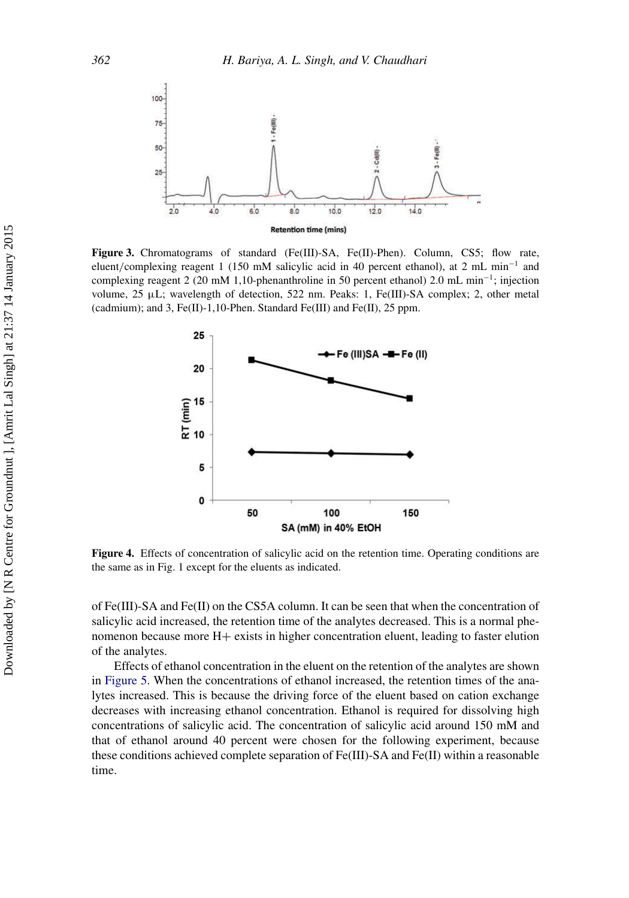<span id="page-6-0"></span>

Figure 3. Chromatograms of standard (Fe(III)-SA, Fe(II)-Phen). Column, CS5; flow rate, eluent*/*complexing reagent 1 (150 mM salicylic acid in 40 percent ethanol), at 2 mL min−<sup>1</sup> and complexing reagent 2 (20 mM 1,10-phenanthroline in 50 percent ethanol) 2.0 mL min−1; injection volume,  $25 \mu L$ ; wavelength of detection,  $522 \text{ nm}$ . Peaks: 1, Fe(III)-SA complex; 2, other metal (cadmium); and 3, Fe(II)-1,10-Phen. Standard Fe(III) and Fe(II), 25 ppm.

<span id="page-6-1"></span>

**Figure 4.** Effects of concentration of salicylic acid on the retention time. Operating conditions are the same as in Fig. 1 except for the eluents as indicated.

of Fe(III)-SA and Fe(II) on the CS5A column. It can be seen that when the concentration of salicylic acid increased, the retention time of the analytes decreased. This is a normal phenomenon because more H+ exists in higher concentration eluent, leading to faster elution of the analytes.

Effects of ethanol concentration in the eluent on the retention of the analytes are shown in [Figure 5.](#page-7-0) When the concentrations of ethanol increased, the retention times of the analytes increased. This is because the driving force of the eluent based on cation exchange decreases with increasing ethanol concentration. Ethanol is required for dissolving high concentrations of salicylic acid. The concentration of salicylic acid around 150 mM and that of ethanol around 40 percent were chosen for the following experiment, because these conditions achieved complete separation of Fe(III)-SA and Fe(II) within a reasonable time.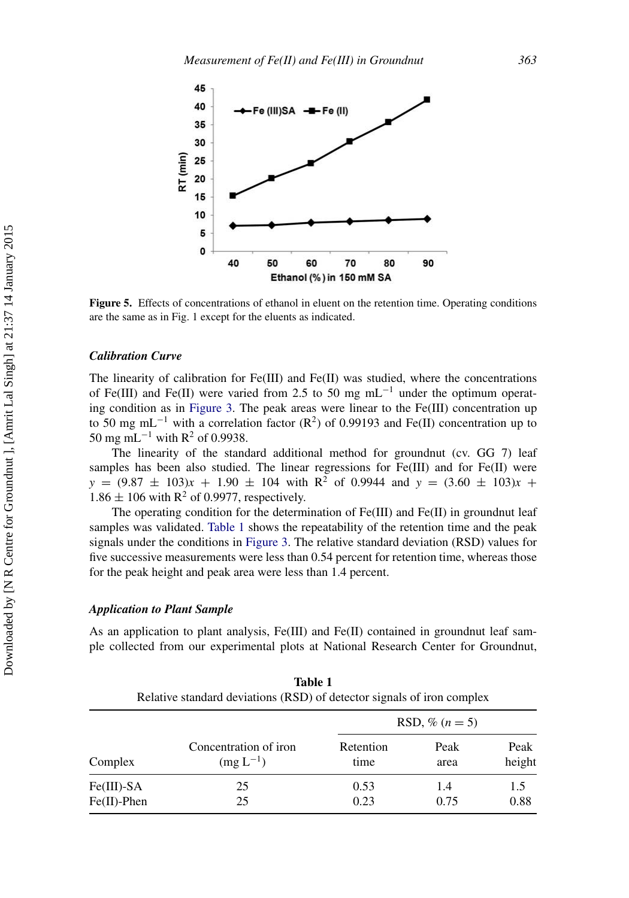<span id="page-7-0"></span>

**Figure 5.** Effects of concentrations of ethanol in eluent on the retention time. Operating conditions are the same as in Fig. 1 except for the eluents as indicated.

#### *Calibration Curve*

The linearity of calibration for  $Fe(III)$  and  $Fe(II)$  was studied, where the concentrations of Fe(III) and Fe(II) were varied from 2.5 to 50 mg mL<sup>-1</sup> under the optimum operating condition as in [Figure 3.](#page-6-0) The peak areas were linear to the Fe(III) concentration up to 50 mg mL<sup>-1</sup> with a correlation factor (R<sup>2</sup>) of 0.99193 and Fe(II) concentration up to 50 mg mL<sup>-1</sup> with R<sup>2</sup> of 0.9938.

The linearity of the standard additional method for groundnut (cv. GG 7) leaf samples has been also studied. The linear regressions for Fe(III) and for Fe(II) were  $y = (9.87 \pm 103)x + 1.90 \pm 104$  with R<sup>2</sup> of 0.9944 and  $y = (3.60 \pm 103)x +$  $1.86 \pm 106$  with R<sup>2</sup> of 0.9977, respectively.

The operating condition for the determination of Fe(III) and Fe(II) in groundnut leaf samples was validated. [Table 1](#page-7-1) shows the repeatability of the retention time and the peak signals under the conditions in [Figure 3.](#page-6-0) The relative standard deviation (RSD) values for five successive measurements were less than 0.54 percent for retention time, whereas those for the peak height and peak area were less than 1.4 percent.

#### *Application to Plant Sample*

As an application to plant analysis,  $Fe(III)$  and  $Fe(II)$  contained in groundnut leaf sample collected from our experimental plots at National Research Center for Groundnut,

<span id="page-7-1"></span>**Table 1**

| Relative standard deviations (RSD) of detector signals of iron complex |                                        |                   |              |                |  |  |
|------------------------------------------------------------------------|----------------------------------------|-------------------|--------------|----------------|--|--|
| Complex                                                                | Concentration of iron<br>$(mg L^{-1})$ | RSD, % $(n = 5)$  |              |                |  |  |
|                                                                        |                                        | Retention<br>time | Peak<br>area | Peak<br>height |  |  |
| $Fe(III)$ -SA<br>$Fe(II)$ -Phen                                        | 25<br>25                               | 0.53<br>0.23      | 1.4<br>0.75  | 1.5<br>0.88    |  |  |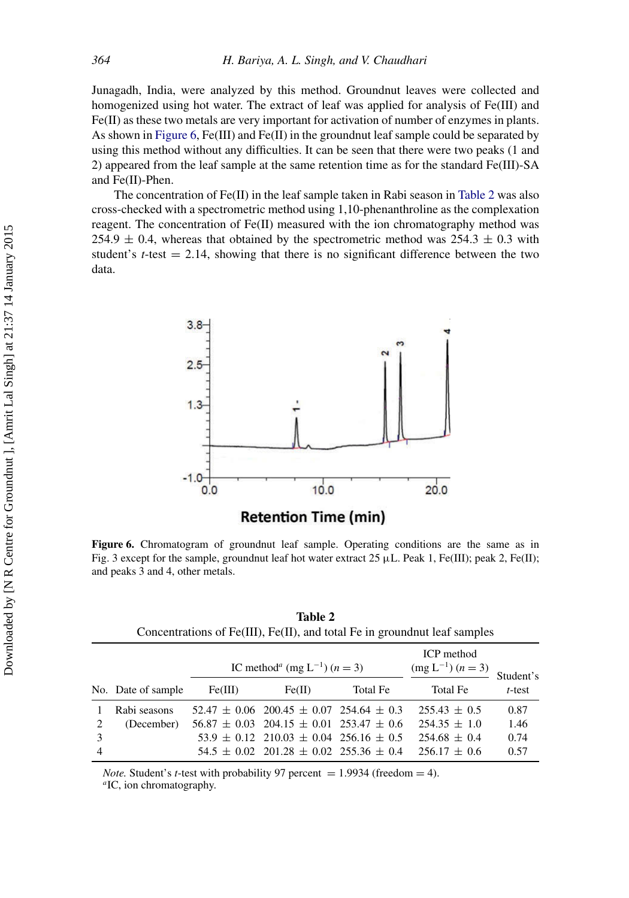Junagadh, India, were analyzed by this method. Groundnut leaves were collected and homogenized using hot water. The extract of leaf was applied for analysis of Fe(III) and Fe(II) as these two metals are very important for activation of number of enzymes in plants. As shown in [Figure 6,](#page-8-0) Fe(III) and Fe(II) in the groundnut leaf sample could be separated by using this method without any difficulties. It can be seen that there were two peaks (1 and 2) appeared from the leaf sample at the same retention time as for the standard Fe(III)-SA and Fe(II)-Phen.

The concentration of  $Fe(II)$  in the leaf sample taken in Rabi season in [Table 2](#page-8-1) was also cross-checked with a spectrometric method using 1,10-phenanthroline as the complexation reagent. The concentration of  $Fe(II)$  measured with the ion chromatography method was 254.9  $\pm$  0.4, whereas that obtained by the spectrometric method was 254.3  $\pm$  0.3 with student's  $t$ -test  $= 2.14$ , showing that there is no significant difference between the two data.

<span id="page-8-0"></span>

Figure 6. Chromatogram of groundnut leaf sample. Operating conditions are the same as in Fig. 3 except for the sample, groundnut leaf hot water extract 25  $\mu$ L. Peak 1, Fe(III); peak 2, Fe(II); and peaks 3 and 4, other metals.

<span id="page-8-1"></span>

| Table 2                                                                            |  |
|------------------------------------------------------------------------------------|--|
| Concentrations of $Fe(III)$ , $Fe(II)$ , and total $Fe$ in ground nut leaf samples |  |

|                |                    | IC method <sup><i>a</i></sup> (mg L <sup>-1</sup> ) ( <i>n</i> = 3) |                                                     |          | ICP method<br>$(mg L^{-1}) (n = 3)$ | Student's |
|----------------|--------------------|---------------------------------------------------------------------|-----------------------------------------------------|----------|-------------------------------------|-----------|
|                | No. Date of sample | Fe(III)                                                             | Fe(II)                                              | Total Fe | Total Fe                            | $t$ -test |
|                | Rabi seasons       |                                                                     | $52.47 \pm 0.06$ 200.45 $\pm$ 0.07 254.64 $\pm$ 0.3 |          | $255.43 \pm 0.5$                    | 0.87      |
| 2              | (December)         |                                                                     | $56.87 \pm 0.03$ 204.15 $\pm$ 0.01 253.47 $\pm$ 0.6 |          | $254.35 \pm 1.0$                    | 1.46      |
| -3             |                    |                                                                     | $53.9 \pm 0.12$ 210.03 $\pm$ 0.04 256.16 $\pm$ 0.5  |          | $254.68 \pm 0.4$                    | 0.74      |
| $\overline{4}$ |                    |                                                                     | $54.5 \pm 0.02$ 201.28 $\pm$ 0.02 255.36 $\pm$ 0.4  |          | $256.17 \pm 0.6$                    | 0.57      |

*Note.* Student's *t*-test with probability 97 percent = 1.9934 (freedom = 4). *a*IC, ion chromatography.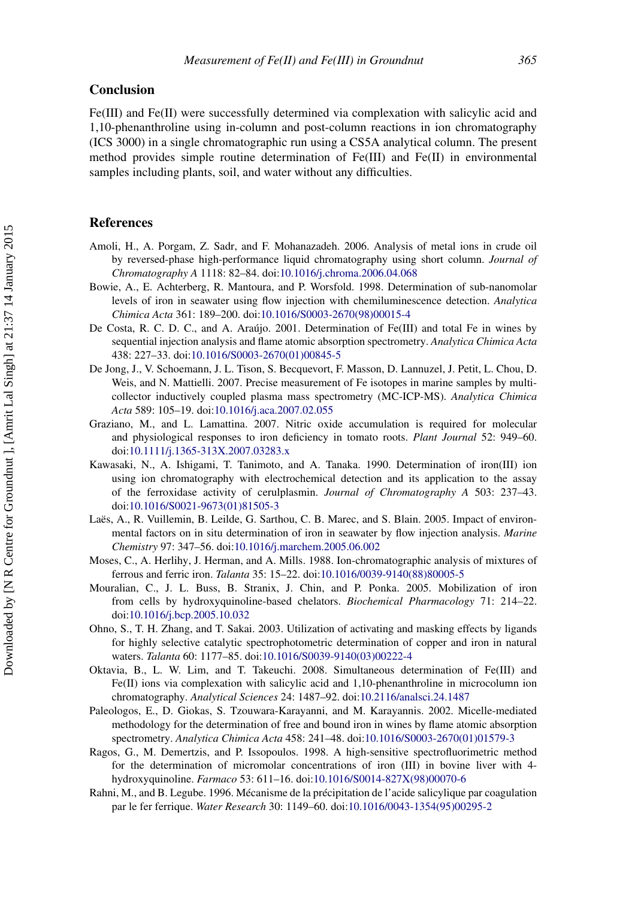#### **Conclusion**

Fe(III) and Fe(II) were successfully determined via complexation with salicylic acid and 1,10-phenanthroline using in-column and post-column reactions in ion chromatography (ICS 3000) in a single chromatographic run using a CS5A analytical column. The present method provides simple routine determination of Fe(III) and Fe(II) in environmental samples including plants, soil, and water without any difficulties.

#### **References**

- <span id="page-9-5"></span>Amoli, H., A. Porgam, Z. Sadr, and F. Mohanazadeh. 2006. Analysis of metal ions in crude oil by reversed-phase high-performance liquid chromatography using short column. *Journal of Chromatography A* 1118: 82–84. doi[:10.1016/j.chroma.2006.04.068](http://dx.doi.org/10.1016/j.chroma.2006.04.068)
- <span id="page-9-9"></span>Bowie, A., E. Achterberg, R. Mantoura, and P. Worsfold. 1998. Determination of sub-nanomolar levels of iron in seawater using flow injection with chemiluminescence detection. *Analytica Chimica Acta* 361: 189–200. doi[:10.1016/S0003-2670\(98\)00015-4](http://dx.doi.org/10.1016/S0003-2670(98)00015-4)
- <span id="page-9-2"></span>De Costa, R. C. D. C., and A. Araújo. 2001. Determination of Fe(III) and total Fe in wines by sequential injection analysis and flame atomic absorption spectrometry. *Analytica Chimica Acta* 438: 227–33. doi[:10.1016/S0003-2670\(01\)00845-5](http://dx.doi.org/10.1016/S0003-2670(01)00845-5)
- <span id="page-9-6"></span>De Jong, J., V. Schoemann, J. L. Tison, S. Becquevort, F. Masson, D. Lannuzel, J. Petit, L. Chou, D. Weis, and N. Mattielli. 2007. Precise measurement of Fe isotopes in marine samples by multicollector inductively coupled plasma mass spectrometry (MC-ICP-MS). *Analytica Chimica Acta* 589: 105–19. doi[:10.1016/j.aca.2007.02.055](http://dx.doi.org/10.1016/j.aca.2007.02.055)
- <span id="page-9-0"></span>Graziano, M., and L. Lamattina. 2007. Nitric oxide accumulation is required for molecular and physiological responses to iron deficiency in tomato roots. *Plant Journal* 52: 949–60. doi[:10.1111/j.1365-313X.2007.03283.x](http://dx.doi.org/10.1111/j.1365-313X.2007.03283.x)
- <span id="page-9-7"></span>Kawasaki, N., A. Ishigami, T. Tanimoto, and A. Tanaka. 1990. Determination of iron(III) ion using ion chromatography with electrochemical detection and its application to the assay of the ferroxidase activity of cerulplasmin. *Journal of Chromatography A* 503: 237–43. doi[:10.1016/S0021-9673\(01\)81505-3](http://dx.doi.org/10.1016/S0021-9673(01)81505-3)
- <span id="page-9-11"></span>Laës, A., R. Vuillemin, B. Leilde, G. Sarthou, C. B. Marec, and S. Blain. 2005. Impact of environmental factors on in situ determination of iron in seawater by flow injection analysis. *Marine Chemistry* 97: 347–56. doi[:10.1016/j.marchem.2005.06.002](http://dx.doi.org/10.1016/j.marchem.2005.06.002)
- <span id="page-9-8"></span>Moses, C., A. Herlihy, J. Herman, and A. Mills. 1988. Ion-chromatographic analysis of mixtures of ferrous and ferric iron. *Talanta* 35: 15–22. doi[:10.1016/0039-9140\(88\)80005-5](http://dx.doi.org/10.1016/0039-9140(88)80005-5)
- <span id="page-9-10"></span>Mouralian, C., J. L. Buss, B. Stranix, J. Chin, and P. Ponka. 2005. Mobilization of iron from cells by hydroxyquinoline-based chelators. *Biochemical Pharmacology* 71: 214–22. doi[:10.1016/j.bcp.2005.10.032](http://dx.doi.org/10.1016/j.bcp.2005.10.032)
- <span id="page-9-4"></span>Ohno, S., T. H. Zhang, and T. Sakai. 2003. Utilization of activating and masking effects by ligands for highly selective catalytic spectrophotometric determination of copper and iron in natural waters. *Talanta* 60: 1177–85. doi[:10.1016/S0039-9140\(03\)00222-4](http://dx.doi.org/10.1016/S0039-9140(03)00222-4)
- <span id="page-9-13"></span>Oktavia, B., L. W. Lim, and T. Takeuchi. 2008. Simultaneous determination of Fe(III) and Fe(II) ions via complexation with salicylic acid and 1,10-phenanthroline in microcolumn ion chromatography. *Analytical Sciences* 24: 1487–92. doi[:10.2116/analsci.24.1487](http://dx.doi.org/10.2116/analsci.24.1487)
- <span id="page-9-3"></span>Paleologos, E., D. Giokas, S. Tzouwara-Karayanni, and M. Karayannis. 2002. Micelle-mediated methodology for the determination of free and bound iron in wines by flame atomic absorption spectrometry. *Analytica Chimica Acta* 458: 241–48. doi[:10.1016/S0003-2670\(01\)01579-3](http://dx.doi.org/10.1016/S0003-2670(01)01579-3)
- <span id="page-9-1"></span>Ragos, G., M. Demertzis, and P. Issopoulos. 1998. A high-sensitive spectrofluorimetric method for the determination of micromolar concentrations of iron (III) in bovine liver with 4 hydroxyquinoline. *Farmaco* 53: 611–16. doi[:10.1016/S0014-827X\(98\)00070-6](http://dx.doi.org/10.1016/S0014-827X(98)00070-6)
- <span id="page-9-12"></span>Rahni, M., and B. Legube. 1996. Mécanisme de la précipitation de l'acide salicylique par coagulation par le fer ferrique. *Water Research* 30: 1149–60. doi[:10.1016/0043-1354\(95\)00295-2](http://dx.doi.org/10.1016/0043-1354(95)00295-2)